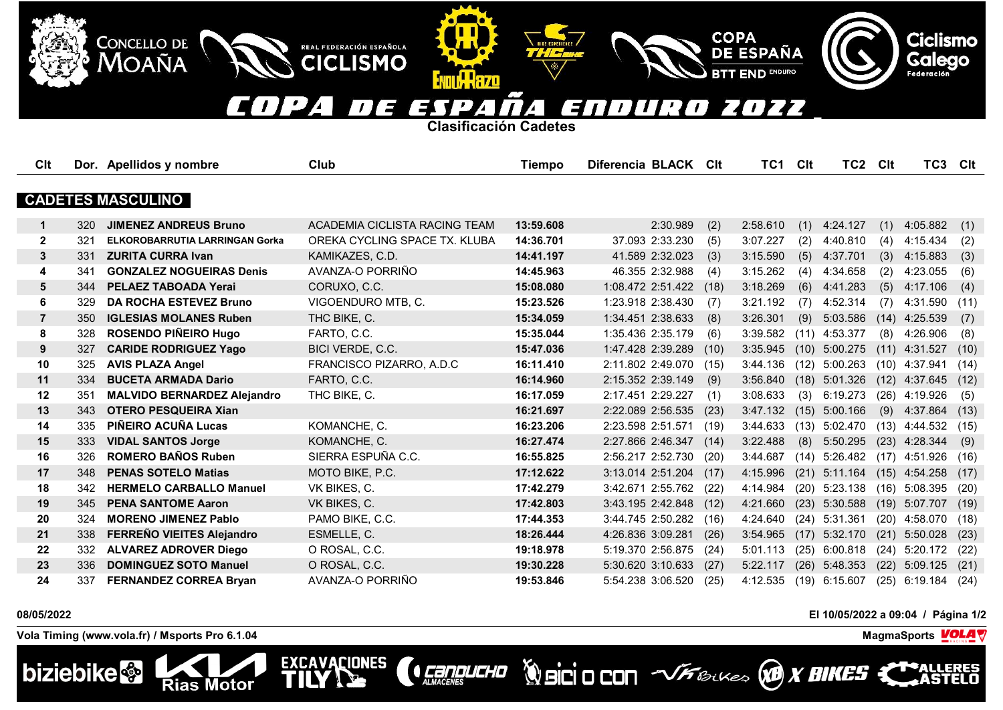## T 7 7 7 E

**Clasificación Cadetes**

**ENTILL R7D** 

REAL FEDERACIÓN ESPAÑOLA

**CICLISMO** 

EXCAVACIONES

| Clt                      |     | Dor. Apellidos y nombre            | Club                          | <b>Tiempo</b> | Diferencia BLACK CIt |      | TC1 Clt  |      | TC2             | <b>Clt</b> | TC3 Clt         |      |
|--------------------------|-----|------------------------------------|-------------------------------|---------------|----------------------|------|----------|------|-----------------|------------|-----------------|------|
|                          |     |                                    |                               |               |                      |      |          |      |                 |            |                 |      |
| <b>CADETES MASCULINO</b> |     |                                    |                               |               |                      |      |          |      |                 |            |                 |      |
| $\mathbf 1$              | 320 | <b>JIMENEZ ANDREUS Bruno</b>       | ACADEMIA CICLISTA RACING TEAM | 13:59.608     | 2:30.989             | (2)  | 2:58.610 | (1)  | 4:24.127        | (1)        | 4:05.882        | (1)  |
| $\mathbf{2}$             | 321 | ELKOROBARRUTIA LARRINGAN Gorka     | OREKA CYCLING SPACE TX. KLUBA | 14:36.701     | 37.093 2:33.230      | (5)  | 3:07.227 | (2)  | 4:40.810        | (4)        | 4:15.434        | (2)  |
| $\mathbf{3}$             | 331 | <b>ZURITA CURRA Ivan</b>           | KAMIKAZES, C.D.               | 14:41.197     | 41.589 2:32.023      | (3)  | 3:15.590 | (5)  | 4:37.701        | (3)        | 4:15.883        | (3)  |
| 4                        | 341 | <b>GONZALEZ NOGUEIRAS Denis</b>    | AVANZA-O PORRIÑO              | 14:45.963     | 46.355 2:32.988      | (4)  | 3:15.262 | (4)  | 4:34.658        | (2)        | 4:23.055        | (6)  |
| 5                        | 344 | PELAEZ TABOADA Yerai               | CORUXO, C.C.                  | 15:08.080     | 1:08.472 2:51.422    | (18) | 3:18.269 | (6)  | 4:41.283        | (5)        | 4:17.106        | (4)  |
| 6                        | 329 | <b>DA ROCHA ESTEVEZ Bruno</b>      | VIGOENDURO MTB, C.            | 15:23.526     | 1:23.918 2:38.430    | (7)  | 3:21.192 | (7)  | 4:52.314        | (7)        | 4:31.590        | (11) |
| $\overline{7}$           | 350 | <b>IGLESIAS MOLANES Ruben</b>      | THC BIKE, C.                  | 15:34.059     | 1:34.451 2:38.633    | (8)  | 3:26.301 | (9)  | 5:03.586        | (14)       | 4:25.539        | (7)  |
| 8                        | 328 | <b>ROSENDO PIÑEIRO Hugo</b>        | FARTO, C.C.                   | 15:35.044     | 1:35.436 2:35.179    | (6)  | 3:39.582 | (11) | 4:53.377        | (8)        | 4:26.906        | (8)  |
| 9                        | 327 | <b>CARIDE RODRIGUEZ Yago</b>       | BICI VERDE, C.C.              | 15:47.036     | 1:47.428 2:39.289    | (10) | 3:35.945 | (10) | 5:00.275        | (11)       | 4:31.527        | (10) |
| 10                       | 325 | <b>AVIS PLAZA Angel</b>            | FRANCISCO PIZARRO, A.D.C      | 16:11.410     | 2:11.802 2:49.070    | (15) | 3:44.136 | (12) | 5:00.263        |            | $(10)$ 4:37.941 | (14) |
| 11                       | 334 | <b>BUCETA ARMADA Dario</b>         | FARTO, C.C.                   | 16:14.960     | 2:15.352 2:39.149    | (9)  | 3:56.840 | (18) | 5:01.326        |            | $(12)$ 4:37.645 | (12) |
| 12                       | 351 | <b>MALVIDO BERNARDEZ Alejandro</b> | THC BIKE, C.                  | 16:17.059     | 2:17.451 2:29.227    | (1)  | 3:08.633 | (3)  | 6:19.273        |            | $(26)$ 4:19.926 | (5)  |
| 13                       | 343 | <b>OTERO PESQUEIRA Xian</b>        |                               | 16:21.697     | 2:22.089 2:56.535    | (23) | 3:47.132 | (15) | 5:00.166        | (9)        | 4:37.864        | (13) |
| 14                       | 335 | PIÑEIRO ACUÑA Lucas                | KOMANCHE, C.                  | 16:23.206     | 2:23.598 2:51.571    | (19) | 3:44.633 | (13) | 5:02.470        |            | $(13)$ 4:44.532 | (15) |
| 15                       | 333 | <b>VIDAL SANTOS Jorge</b>          | KOMANCHE, C.                  | 16:27.474     | 2:27.866 2:46.347    | (14) | 3:22.488 | (8)  | 5:50.295        | (23)       | 4:28.344        | (9)  |
| 16                       | 326 | <b>ROMERO BAÑOS Ruben</b>          | SIERRA ESPUÑA C.C.            | 16:55.825     | 2:56.217 2:52.730    | (20) | 3:44.687 | (14) | 5:26.482        |            | $(17)$ 4:51.926 | (16) |
| 17                       | 348 | <b>PENAS SOTELO Matias</b>         | MOTO BIKE, P.C.               | 17:12.622     | 3:13.014 2:51.204    | (17) | 4:15.996 | (21) | 5:11.164        |            | $(15)$ 4:54.258 | (17) |
| 18                       | 342 | <b>HERMELO CARBALLO Manuel</b>     | VK BIKES, C.                  | 17:42.279     | 3:42.671 2:55.762    | (22) | 4:14.984 | (20) | 5:23.138        | (16)       | 5:08.395        | (20) |
| 19                       | 345 | <b>PENA SANTOME Aaron</b>          | VK BIKES, C.                  | 17:42.803     | 3:43.195 2:42.848    | (12) | 4:21.660 | (23) | 5:30.588        | (19)       | 5:07.707        | (19) |
| 20                       | 324 | <b>MORENO JIMENEZ Pablo</b>        | PAMO BIKE, C.C.               | 17:44.353     | 3:44.745 2:50.282    | (16) | 4:24.640 | (24) | 5:31.361        | (20)       | 4:58.070        | (18) |
| 21                       | 338 | FERREÑO VIEITES Alejandro          | ESMELLE, C.                   | 18:26.444     | 4:26.836 3:09.281    | (26) | 3:54.965 | (17) | 5:32.170        | (21)       | 5:50.028        | (23) |
| 22                       | 332 | <b>ALVAREZ ADROVER Diego</b>       | O ROSAL, C.C.                 | 19:18.978     | 5:19.370 2:56.875    | (24) | 5:01.113 | (25) | 6:00.818        | (24)       | 5:20.172        | (22) |
| 23                       | 336 | <b>DOMINGUEZ SOTO Manuel</b>       | O ROSAL, C.C.                 | 19:30.228     | 5:30.620 3:10.633    | (27) | 5:22.117 | (26) | 5:48.353        | (22)       | 5:09.125        | (21) |
| 24                       | 337 | <b>FERNANDEZ CORREA Bryan</b>      | AVANZA-O PORRIÑO              | 19:53.846     | 5:54.238 3:06.520    | (25) | 4:12.535 |      | $(19)$ 6:15.607 |            | $(25)$ 6:19.184 | (24) |

**CEREDUCHO** 

## **08/05/2022 El 10/05/2022 a 09:04 / Página 1/2**

**Vola Timing (www.vola.fr) / Msports Pro 6.1.04 MagmaSports**

**Rias Motor** 

CONCELLO DE

MOAÑA



**Ciclismo**<br>Galego

**Volcio CON VFBLKES X BIKES X** 

COPA<br>DE ESPAÑA

**END ENDURO**